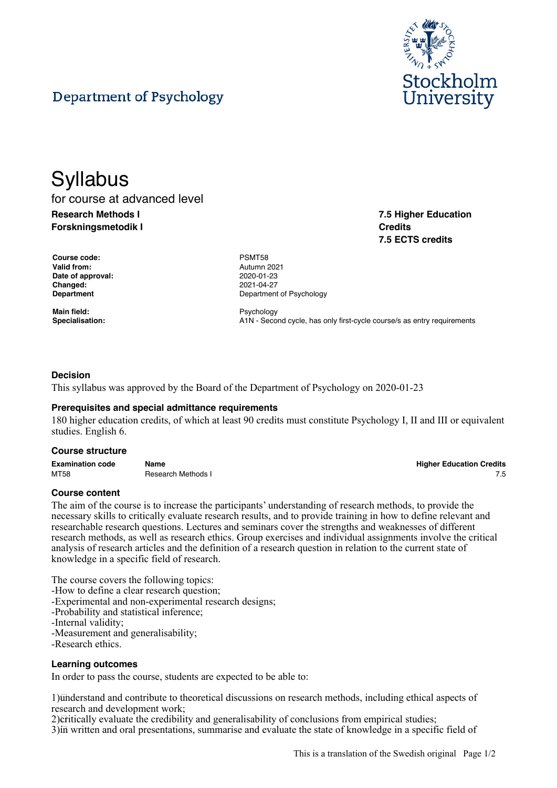

**7.5 Higher Education**

**7.5 ECTS credits**

**Credits**

# Department of Psychology

# **Syllabus** for course at advanced level **Research Methods I Forskningsmetodik I**

**Course code:** PSMT58 **Valid from:** Autumn 2021 **Date of approval:** 2020-01-23 **Changed:** 2021-04-27

**Main field:** Psychology<br> **Proposizion:** Psychology<br> **Proposition:** Psychology<br> **Proposition:** Psychology<br> **Proposition:** Psychology<br> **Proposition:** Psychology

**Department** Department **Department** Of Psychology

**Specialisation:** A1N - Second cycle, has only first-cycle course/s as entry requirements

#### **Decision**

This syllabus was approved by the Board of the Department of Psychology on 2020-01-23

#### **Prerequisites and special admittance requirements**

180 higher education credits, of which at least 90 credits must constitute Psychology I, II and III or equivalent studies. English 6.

#### **Course structure**

| <b>Examination code</b> | Name               | <b>Higher Education Credits</b> |
|-------------------------|--------------------|---------------------------------|
| MT58                    | Research Methods I |                                 |

#### **Course content**

The aim of the course is to increase the participants' understanding of research methods, to provide the necessary skills to critically evaluate research results, and to provide training in how to define relevant and researchable research questions. Lectures and seminars cover the strengths and weaknesses of different research methods, as well as research ethics. Group exercises and individual assignments involve the critical analysis of research articles and the definition of a research question in relation to the current state of knowledge in a specific field of research.

The course covers the following topics:

-How to define a clear research question;

-Experimental and non-experimental research designs;

-Probability and statistical inference;

-Internal validity;

-Measurement and generalisability;

-Research ethics.

#### **Learning outcomes**

In order to pass the course, students are expected to be able to:

1) understand and contribute to theoretical discussions on research methods, including ethical aspects of research and development work;

2) Critically evaluate the credibility and generalisability of conclusions from empirical studies;

3) in written and oral presentations, summarise and evaluate the state of knowledge in a specific field of